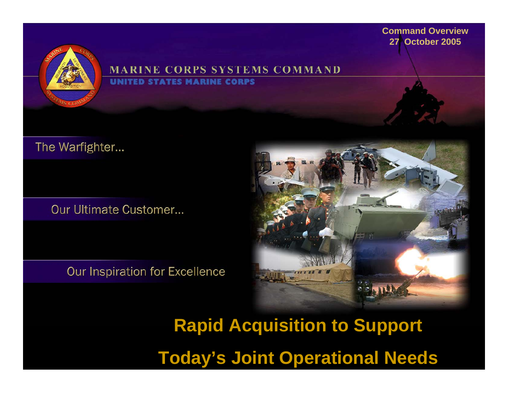

#### **MARINE CORPS SYSTEMS COMMAND STATES MARINE CORPS**

The Warfighter...

Our Ultimate Customer...

Our Inspiration for Excellence



**Rapid Acquisition to Support Today's Joint Operational Needs**

**Command Overview27 October 2005**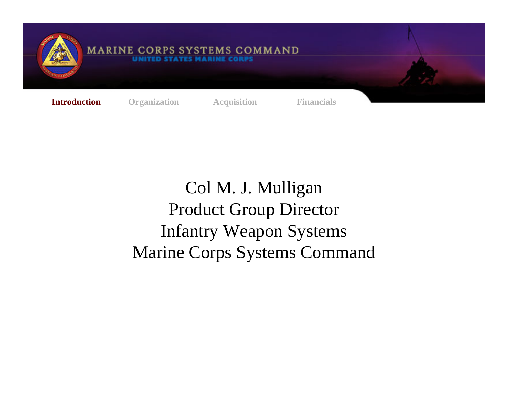

## **MARINE CORPS SYSTEMS COMMAND**

**Introduction Organization Acquisition Financials** 

Col M. J. Mulligan Product Group Director Infantry Weapon Systems Marine Corps Systems Command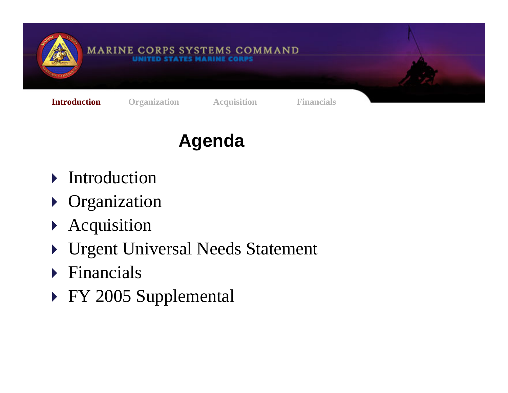

## **Agenda**

- $\triangleright$  Introduction
- **Divideo Sepannization**
- $\blacktriangleright$ Acquisition
- ▶ Urgent Universal Needs Statement
- $\triangleright$  Financials
- ▶ FY 2005 Supplemental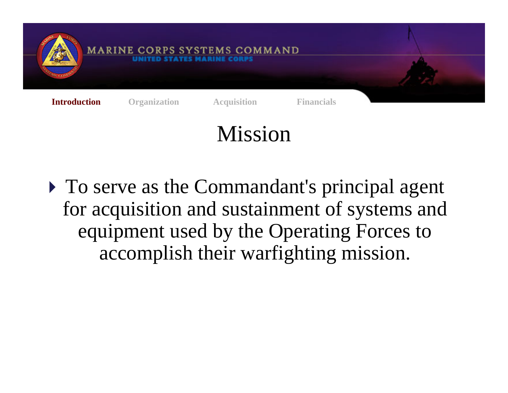

# Mission

 $\triangleright$  To serve as the Commandant's principal agent for acquisition and sustainment of systems and equipment used by the Operating Forces to accomplish their warfighting mission.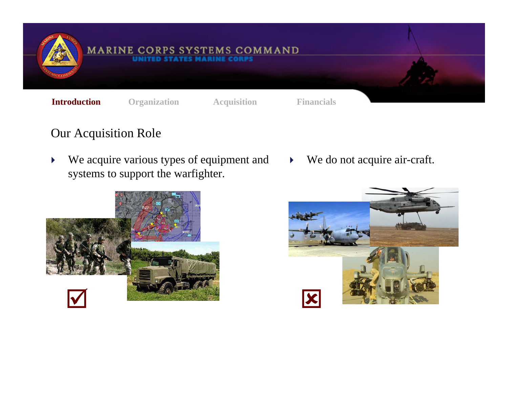

### Our Acquisition Role

 $\blacktriangleright$  We acquire various types of equipment and systems to support the warfighter.



 $\blacktriangleright$ We do not acquire air-craft.

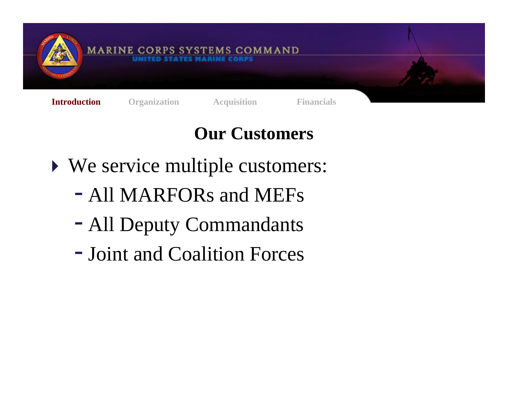

# **Our Customers**

- $\triangleright$  We service multiple customers:
	- All MARFORs and MEFs
	- All Deputy Commandants
	- Joint and Coalition Forces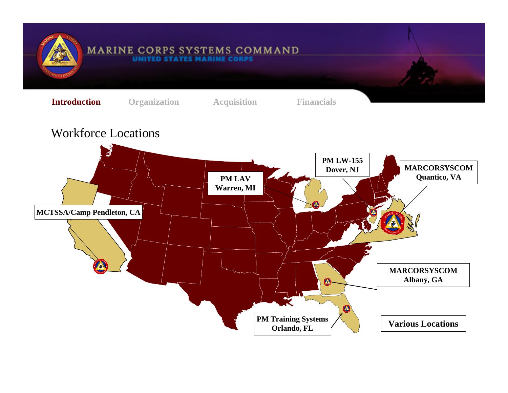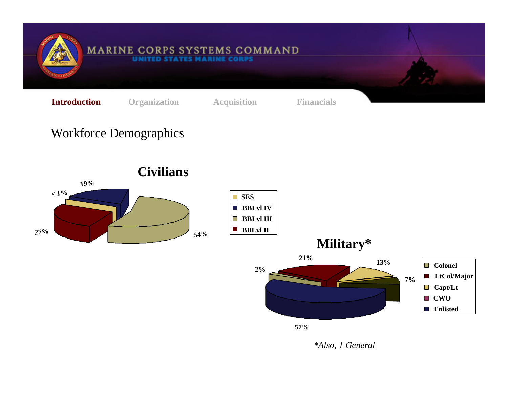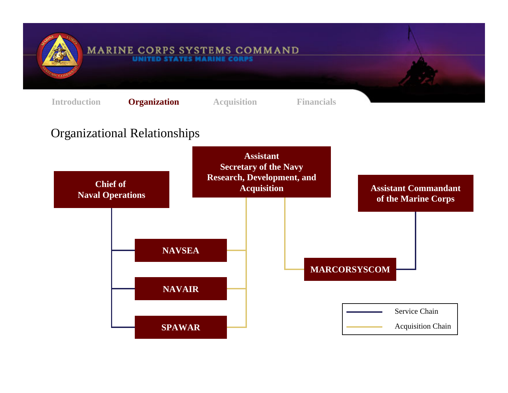

#### **MARINE CORPS SYSTEMS COMMAND** UNITED STATES MARINE CORP.

**Introduction Organizatio Organization Acquisition Financials**

Organizational Relationships **Chief of Naval Operations NAVAIRNAVSEASPAWARMARCORSYSCOM Assistant Commandant of the Marine Corps** Service ChainAcquisition Chain **Assistant Secretary of the Navy Research, Development, and Acquisition**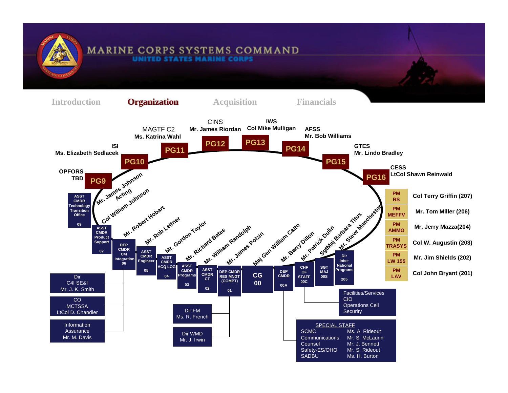

#### **MARINE CORPS SYSTEMS COMMAND** UNITED STATES MARINE

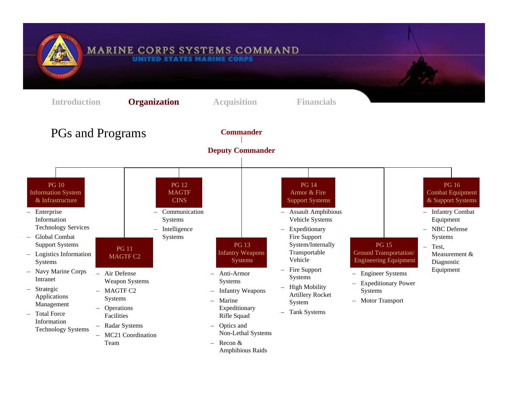

#### MARINE CORPS SYSTEMS COMMAND UNITED STATES MARINE CORPS

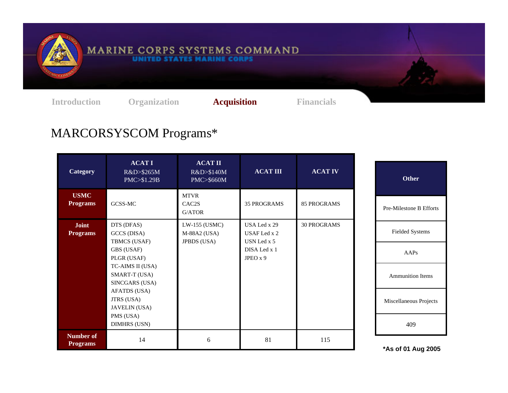

# MARINE CORPS SYSTEMS COMMAND

**Introduction Organization Acquisition Financials**

## MARCORSYSCOM Programs\*

| Category                        | <b>ACATI</b><br>R&D>\$265M<br>PMC>\$1.29B           | <b>ACAT II</b><br>R&D>\$140M<br>PMC>\$660M          | <b>ACAT III</b>                             | <b>ACAT IV</b>     | <b>Other</b>            |
|---------------------------------|-----------------------------------------------------|-----------------------------------------------------|---------------------------------------------|--------------------|-------------------------|
| <b>USMC</b><br><b>Programs</b>  | GCSS-MC                                             | <b>MTVR</b><br>CAC <sub>2</sub> S<br>G/ATOR         | <b>35 PROGRAMS</b>                          | <b>85 PROGRAMS</b> | Pre-Milestone B Efforts |
| <b>Joint</b><br><b>Programs</b> | DTS (DFAS)<br>GCCS (DISA)<br>TBMCS (USAF)           | LW-155 (USMC)<br>M-88A2 (USA)<br><b>JPBDS</b> (USA) | USA Led x 29<br>USAF Led x 2<br>USN Led x 5 | <b>30 PROGRAMS</b> | <b>Fielded Systems</b>  |
|                                 | GBS (USAF)<br>PLGR (USAF)                           |                                                     | DISA Led x 1<br>JPEO $x$ 9                  |                    | AAPs                    |
|                                 | TC-AIMS II (USA)<br>SMART-T (USA)<br>SINCGARS (USA) |                                                     |                                             |                    | Ammunition Items        |
|                                 | AFATDS (USA)<br>JTRS (USA)<br><b>JAVELIN</b> (USA)  |                                                     |                                             |                    | Miscellaneous Projects  |
|                                 | PMS (USA)<br><b>DIMHRS (USN)</b>                    |                                                     |                                             |                    | 409                     |
| Number of<br><b>Programs</b>    | 14                                                  | 6                                                   | 81                                          | 115                | *As of 01 Aug 2005      |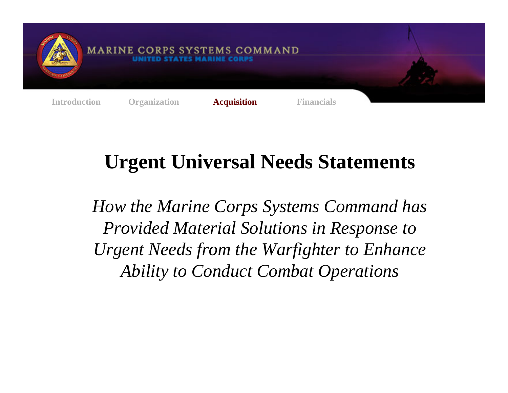

# **Urgent Universal Needs Statements**

*How the Marine Corps Systems Command has Provided Material Solutions in Response to Urgent Needs from the Warfighter to Enhance Ability to Conduct Combat Operations*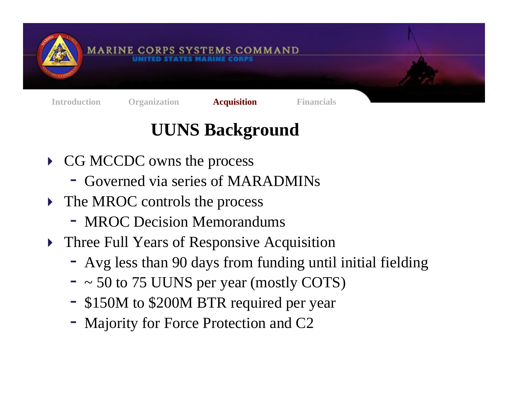

# **UUNS Background**

- ▶ CG MCCDC owns the process
	- Governed via series of MARADMINs
- The MROC controls the process
	- MROC Decision Memorandums
- $\blacktriangleright$  Three Full Years of Responsive Acquisition
	- Avg less than 90 days from funding until initial fielding
	- ~ 50 to 75 UUNS per year (mostly COTS)
	- \$150M to \$200M BTR required per year
	- Majority for Force Protection and C2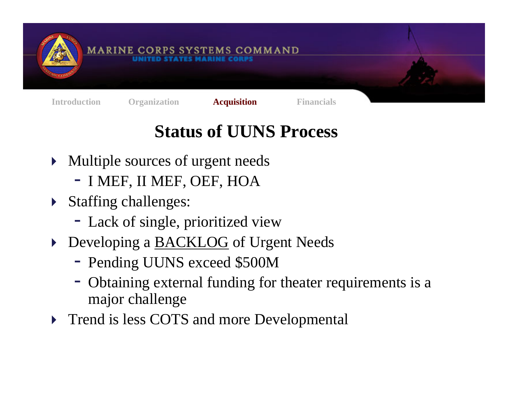

# **Status of UUNS Process**

- $\blacktriangleright$  Multiple sources of urgent needs
	- I MEF, II MEF, OEF, HOA
- $\blacktriangleright$  Staffing challenges:
	- Lack of single, prioritized view
- Developing a **BACKLOG** of Urgent Needs
	- Pending UUNS exceed \$500M
	- Obtaining external funding for theater requirements is a major challenge
- **Trend is less COTS and more Developmental**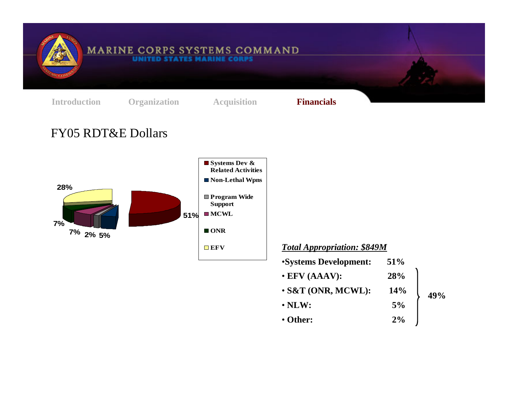

#### **MARINE CORPS SYSTEMS COMMAND UNITED**

**Introduction Organization Acquisition Financials**

### FY05 RDT&E Dollars



### *Total Appropriation: \$849M*

- •**Systems Development: 51%** • **EFV (AAAV): 28%** • **S&T (ONR, MCWL): 14%**
- **NLW: 5%**
- **Other: 2%** $2\%$

**49%**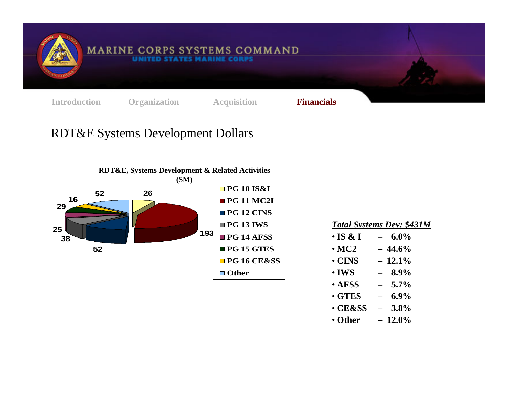

**MARINE CORPS SYSTEMS COMMAND UNITED** 

**Introduction Organization Acquisition Financials**

## RDT&E Systems Development Dollars



| $1$ oral D forches D c $\ell$ , $\varphi$ is $1.1\pi$ |
|-------------------------------------------------------|
| $6.0\%$<br>$\overline{\phantom{0}}$                   |
| $-44.6\%$                                             |
| $-12.1\%$                                             |
|                                                       |

*Total Systems Dev: \$431M*

| $\boldsymbol{\cdot}$ IWS | 8.9% |
|--------------------------|------|
|                          |      |

- **AFSS –5.7%**
- **GTES –6.9%**
- **CE&SS –3.8%**
- **Other –** $-12.0\%$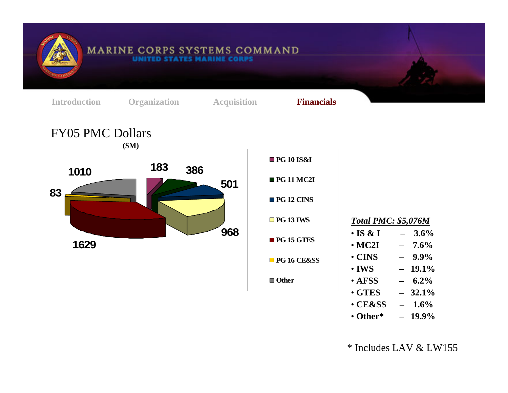

\* Includes LAV & LW155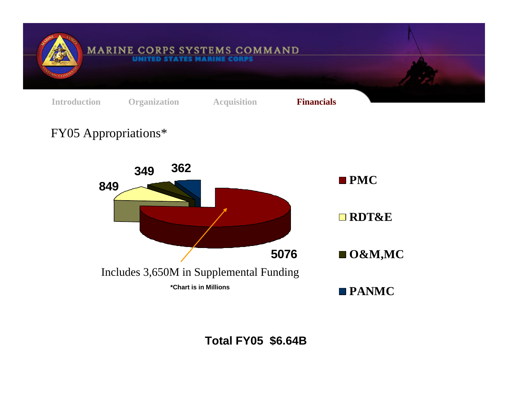

**Total FY05 \$6.64B**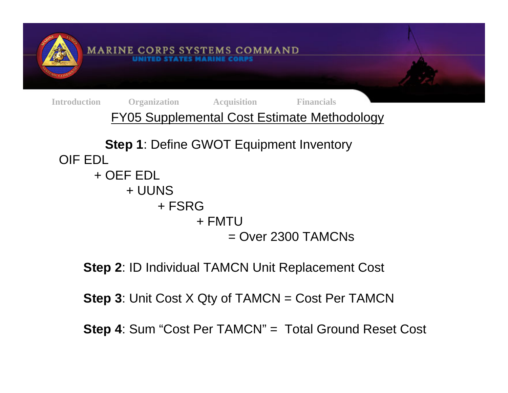

**Step 2**: ID Individual TAMCN Unit Replacement Cost

**Step 3: Unit Cost X Qty of TAMCN = Cost Per TAMCN** 

**Step 4**: Sum "Cost Per TAMCN" = Total Ground Reset Cost